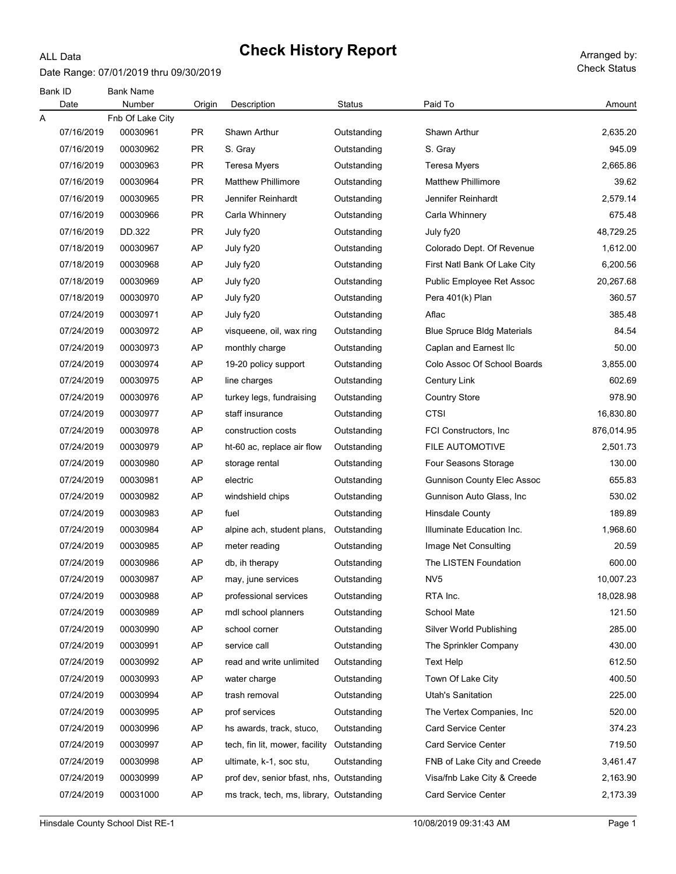#### Date Range: 07/01/2019 thru 09/30/2019

ALL Data

Check Status

| Bank ID | Date       | <b>Bank Name</b><br>Number | Origin    | Description                              | Status      | Paid To                           | Amount     |
|---------|------------|----------------------------|-----------|------------------------------------------|-------------|-----------------------------------|------------|
| Α       |            | Fnb Of Lake City           |           |                                          |             |                                   |            |
|         | 07/16/2019 | 00030961                   | PR.       | Shawn Arthur                             | Outstanding | Shawn Arthur                      | 2,635.20   |
|         | 07/16/2019 | 00030962                   | <b>PR</b> | S. Gray                                  | Outstanding | S. Gray                           | 945.09     |
|         | 07/16/2019 | 00030963                   | <b>PR</b> | <b>Teresa Myers</b>                      | Outstanding | <b>Teresa Myers</b>               | 2,665.86   |
|         | 07/16/2019 | 00030964                   | <b>PR</b> | <b>Matthew Phillimore</b>                | Outstanding | <b>Matthew Phillimore</b>         | 39.62      |
|         | 07/16/2019 | 00030965                   | <b>PR</b> | Jennifer Reinhardt                       | Outstanding | Jennifer Reinhardt                | 2,579.14   |
|         | 07/16/2019 | 00030966                   | <b>PR</b> | Carla Whinnery                           | Outstanding | Carla Whinnery                    | 675.48     |
|         | 07/16/2019 | DD.322                     | <b>PR</b> | July fy20                                | Outstanding | July fy20                         | 48,729.25  |
|         | 07/18/2019 | 00030967                   | AP        | July fy20                                | Outstanding | Colorado Dept. Of Revenue         | 1,612.00   |
|         | 07/18/2019 | 00030968                   | AP        | July fy20                                | Outstanding | First Natl Bank Of Lake City      | 6,200.56   |
|         | 07/18/2019 | 00030969                   | AP        | July fy20                                | Outstanding | Public Employee Ret Assoc         | 20,267.68  |
|         | 07/18/2019 | 00030970                   | AP        | July fy20                                | Outstanding | Pera 401(k) Plan                  | 360.57     |
|         | 07/24/2019 | 00030971                   | AP        | July fy20                                | Outstanding | Aflac                             | 385.48     |
|         | 07/24/2019 | 00030972                   | AP        | visqueene, oil, wax ring                 | Outstanding | <b>Blue Spruce Bldg Materials</b> | 84.54      |
|         | 07/24/2019 | 00030973                   | AP        | monthly charge                           | Outstanding | Caplan and Earnest IIc            | 50.00      |
|         | 07/24/2019 | 00030974                   | AP        | 19-20 policy support                     | Outstanding | Colo Assoc Of School Boards       | 3,855.00   |
|         | 07/24/2019 | 00030975                   | AP        | line charges                             | Outstanding | <b>Century Link</b>               | 602.69     |
|         | 07/24/2019 | 00030976                   | AP        | turkey legs, fundraising                 | Outstanding | <b>Country Store</b>              | 978.90     |
|         | 07/24/2019 | 00030977                   | AP        | staff insurance                          | Outstanding | CTSI                              | 16,830.80  |
|         | 07/24/2019 | 00030978                   | AP        | construction costs                       | Outstanding | FCI Constructors, Inc.            | 876,014.95 |
|         | 07/24/2019 | 00030979                   | AP        | ht-60 ac, replace air flow               | Outstanding | <b>FILE AUTOMOTIVE</b>            | 2,501.73   |
|         | 07/24/2019 | 00030980                   | AP        | storage rental                           | Outstanding | Four Seasons Storage              | 130.00     |
|         | 07/24/2019 | 00030981                   | AP        | electric                                 | Outstanding | <b>Gunnison County Elec Assoc</b> | 655.83     |
|         | 07/24/2019 | 00030982                   | AP        | windshield chips                         | Outstanding | Gunnison Auto Glass, Inc.         | 530.02     |
|         | 07/24/2019 | 00030983                   | AP        | fuel                                     | Outstanding | Hinsdale County                   | 189.89     |
|         | 07/24/2019 | 00030984                   | AP        | alpine ach, student plans,               | Outstanding | Illuminate Education Inc.         | 1,968.60   |
|         | 07/24/2019 | 00030985                   | AP        | meter reading                            | Outstanding | Image Net Consulting              | 20.59      |
|         | 07/24/2019 | 00030986                   | AP        | db, ih therapy                           | Outstanding | The LISTEN Foundation             | 600.00     |
|         | 07/24/2019 | 00030987                   | AP        | may, june services                       | Outstanding | NV <sub>5</sub>                   | 10,007.23  |
|         | 07/24/2019 | 00030988                   | AP        | professional services                    | Outstanding | RTA Inc.                          | 18,028.98  |
|         | 07/24/2019 | 00030989                   | AP        | mdl school planners                      | Outstanding | School Mate                       | 121.50     |
|         | 07/24/2019 | 00030990                   | AP        | school corner                            | Outstanding | Silver World Publishing           | 285.00     |
|         | 07/24/2019 | 00030991                   | AP        | service call                             | Outstanding | The Sprinkler Company             | 430.00     |
|         | 07/24/2019 | 00030992                   | AP        | read and write unlimited                 | Outstanding | <b>Text Help</b>                  | 612.50     |
|         | 07/24/2019 | 00030993                   | AP        | water charge                             | Outstanding | Town Of Lake City                 | 400.50     |
|         | 07/24/2019 | 00030994                   | AP        | trash removal                            | Outstanding | Utah's Sanitation                 | 225.00     |
|         | 07/24/2019 | 00030995                   | AP        | prof services                            | Outstanding | The Vertex Companies, Inc.        | 520.00     |
|         | 07/24/2019 | 00030996                   | AP        | hs awards, track, stuco,                 | Outstanding | <b>Card Service Center</b>        | 374.23     |
|         | 07/24/2019 | 00030997                   | AP        | tech, fin lit, mower, facility           | Outstanding | <b>Card Service Center</b>        | 719.50     |
|         | 07/24/2019 | 00030998                   | AP        | ultimate, k-1, soc stu,                  | Outstanding | FNB of Lake City and Creede       | 3,461.47   |
|         | 07/24/2019 | 00030999                   | AP        | prof dev, senior bfast, nhs, Outstanding |             | Visa/fnb Lake City & Creede       | 2,163.90   |
|         | 07/24/2019 | 00031000                   | AP        | ms track, tech, ms, library, Outstanding |             | <b>Card Service Center</b>        | 2,173.39   |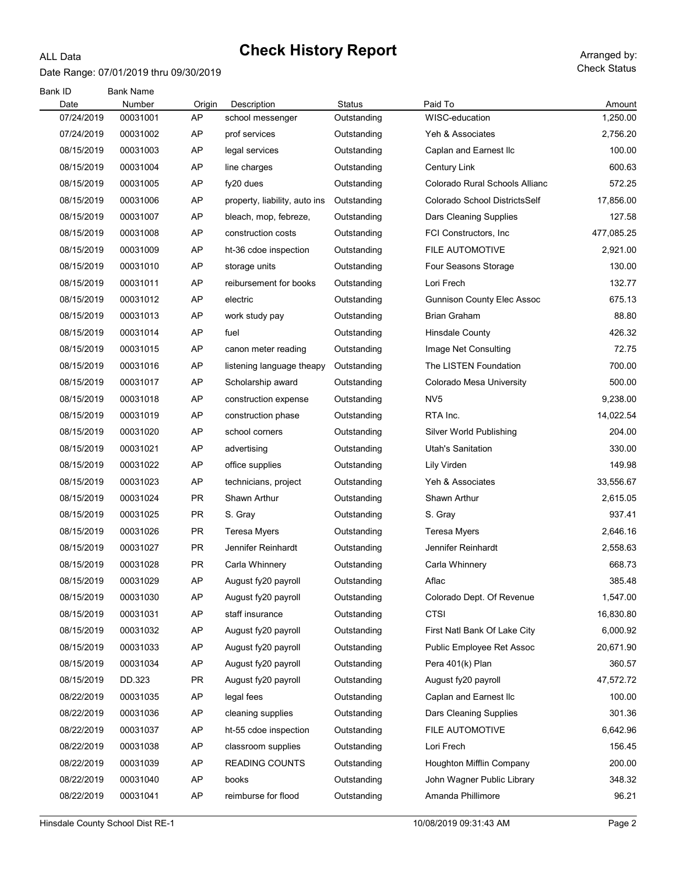#### Date Range: 07/01/2019 thru 09/30/2019

ALL Data

Check Status

| Bank ID<br>Date | <b>Bank Name</b><br>Number |              | Description                   | Status      | Paid To                           |                    |
|-----------------|----------------------------|--------------|-------------------------------|-------------|-----------------------------------|--------------------|
| 07/24/2019      | 00031001                   | Origin<br>AP | school messenger              | Outstanding | WISC-education                    | Amount<br>1,250.00 |
| 07/24/2019      | 00031002                   | AP           | prof services                 | Outstanding | Yeh & Associates                  | 2,756.20           |
| 08/15/2019      | 00031003                   | AP           | legal services                | Outstanding | Caplan and Earnest Ilc            | 100.00             |
| 08/15/2019      | 00031004                   | AP           | line charges                  | Outstanding | <b>Century Link</b>               | 600.63             |
| 08/15/2019      | 00031005                   | AP           | fy20 dues                     | Outstanding | Colorado Rural Schools Allianc    | 572.25             |
| 08/15/2019      | 00031006                   | AP           | property, liability, auto ins | Outstanding | Colorado School DistrictsSelf     | 17,856.00          |
| 08/15/2019      | 00031007                   | AP           | bleach, mop, febreze,         | Outstanding | Dars Cleaning Supplies            | 127.58             |
| 08/15/2019      | 00031008                   | AP           | construction costs            | Outstanding | FCI Constructors, Inc.            | 477,085.25         |
| 08/15/2019      | 00031009                   | AP           | ht-36 cdoe inspection         | Outstanding | <b>FILE AUTOMOTIVE</b>            | 2,921.00           |
| 08/15/2019      | 00031010                   | AP           | storage units                 | Outstanding | Four Seasons Storage              | 130.00             |
| 08/15/2019      | 00031011                   | AP           | reibursement for books        | Outstanding | Lori Frech                        | 132.77             |
| 08/15/2019      | 00031012                   | AP           | electric                      | Outstanding | <b>Gunnison County Elec Assoc</b> | 675.13             |
| 08/15/2019      |                            | AP           | work study pay                |             | <b>Brian Graham</b>               | 88.80              |
|                 | 00031013                   | AP           |                               | Outstanding |                                   | 426.32             |
| 08/15/2019      | 00031014                   |              | fuel                          | Outstanding | Hinsdale County                   |                    |
| 08/15/2019      | 00031015                   | AP           | canon meter reading           | Outstanding | Image Net Consulting              | 72.75              |
| 08/15/2019      | 00031016                   | AP           | listening language theapy     | Outstanding | The LISTEN Foundation             | 700.00             |
| 08/15/2019      | 00031017                   | AP           | Scholarship award             | Outstanding | Colorado Mesa University          | 500.00             |
| 08/15/2019      | 00031018                   | AP           | construction expense          | Outstanding | NV <sub>5</sub>                   | 9,238.00           |
| 08/15/2019      | 00031019                   | AP           | construction phase            | Outstanding | RTA Inc.                          | 14,022.54          |
| 08/15/2019      | 00031020                   | AP           | school corners                | Outstanding | Silver World Publishing           | 204.00             |
| 08/15/2019      | 00031021                   | AP           | advertising                   | Outstanding | <b>Utah's Sanitation</b>          | 330.00             |
| 08/15/2019      | 00031022                   | AP           | office supplies               | Outstanding | Lily Virden                       | 149.98             |
| 08/15/2019      | 00031023                   | AP           | technicians, project          | Outstanding | Yeh & Associates                  | 33,556.67          |
| 08/15/2019      | 00031024                   | <b>PR</b>    | Shawn Arthur                  | Outstanding | Shawn Arthur                      | 2,615.05           |
| 08/15/2019      | 00031025                   | <b>PR</b>    | S. Gray                       | Outstanding | S. Gray                           | 937.41             |
| 08/15/2019      | 00031026                   | <b>PR</b>    | <b>Teresa Myers</b>           | Outstanding | Teresa Myers                      | 2,646.16           |
| 08/15/2019      | 00031027                   | PR           | Jennifer Reinhardt            | Outstanding | Jennifer Reinhardt                | 2,558.63           |
| 08/15/2019      | 00031028                   | PR           | Carla Whinnery                | Outstanding | Carla Whinnery                    | 668.73             |
| 08/15/2019      | 00031029                   | AP           | August fy20 payroll           | Outstanding | Aflac                             | 385.48             |
| 08/15/2019      | 00031030                   | AP           | August fy20 payroll           | Outstanding | Colorado Dept. Of Revenue         | 1,547.00           |
| 08/15/2019      | 00031031                   | AP           | staff insurance               | Outstanding | CTSI                              | 16,830.80          |
| 08/15/2019      | 00031032                   | AP           | August fy20 payroll           | Outstanding | First Natl Bank Of Lake City      | 6,000.92           |
| 08/15/2019      | 00031033                   | AP           | August fy20 payroll           | Outstanding | <b>Public Employee Ret Assoc</b>  | 20,671.90          |
| 08/15/2019      | 00031034                   | AP           | August fy20 payroll           | Outstanding | Pera 401(k) Plan                  | 360.57             |
| 08/15/2019      | DD.323                     | PR           | August fy20 payroll           | Outstanding | August fy20 payroll               | 47,572.72          |
| 08/22/2019      | 00031035                   | AP           | legal fees                    | Outstanding | Caplan and Earnest Ilc            | 100.00             |
| 08/22/2019      | 00031036                   | AP           | cleaning supplies             | Outstanding | Dars Cleaning Supplies            | 301.36             |
| 08/22/2019      | 00031037                   | AP           | ht-55 cdoe inspection         | Outstanding | FILE AUTOMOTIVE                   | 6,642.96           |
| 08/22/2019      | 00031038                   | AP           | classroom supplies            | Outstanding | Lori Frech                        | 156.45             |
| 08/22/2019      | 00031039                   | AP           | <b>READING COUNTS</b>         | Outstanding | Houghton Mifflin Company          | 200.00             |
| 08/22/2019      | 00031040                   | AP           | books                         | Outstanding | John Wagner Public Library        | 348.32             |
| 08/22/2019      | 00031041                   | AP           | reimburse for flood           | Outstanding | Amanda Phillimore                 | 96.21              |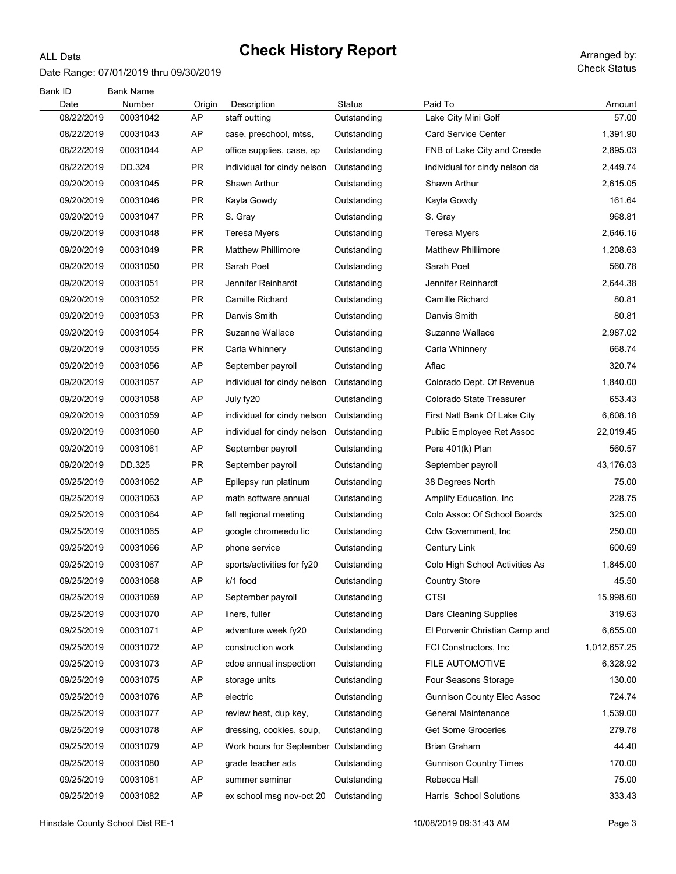#### Date Range: 07/01/2019 thru 09/30/2019

ALL Data

Check Status

| Bank ID<br>Date | <b>Bank Name</b><br>Number | Origin    | Description                          | Status      | Paid To                           | Amount       |
|-----------------|----------------------------|-----------|--------------------------------------|-------------|-----------------------------------|--------------|
| 08/22/2019      | 00031042                   | AP        | staff outting                        | Outstanding | Lake City Mini Golf               | 57.00        |
| 08/22/2019      | 00031043                   | AP        | case, preschool, mtss,               | Outstanding | <b>Card Service Center</b>        | 1,391.90     |
| 08/22/2019      | 00031044                   | AP        | office supplies, case, ap            | Outstanding | FNB of Lake City and Creede       | 2,895.03     |
| 08/22/2019      | DD.324                     | PR.       | individual for cindy nelson          | Outstanding | individual for cindy nelson da    | 2,449.74     |
| 09/20/2019      | 00031045                   | PR.       | Shawn Arthur                         | Outstanding | Shawn Arthur                      | 2,615.05     |
| 09/20/2019      | 00031046                   | <b>PR</b> | Kayla Gowdy                          | Outstanding | Kayla Gowdy                       | 161.64       |
| 09/20/2019      | 00031047                   | <b>PR</b> | S. Gray                              | Outstanding | S. Gray                           | 968.81       |
| 09/20/2019      | 00031048                   | <b>PR</b> | <b>Teresa Myers</b>                  | Outstanding | Teresa Myers                      | 2,646.16     |
| 09/20/2019      | 00031049                   | <b>PR</b> | <b>Matthew Phillimore</b>            | Outstanding | <b>Matthew Phillimore</b>         | 1,208.63     |
| 09/20/2019      | 00031050                   | <b>PR</b> | Sarah Poet                           | Outstanding | Sarah Poet                        | 560.78       |
| 09/20/2019      | 00031051                   | <b>PR</b> | Jennifer Reinhardt                   | Outstanding | Jennifer Reinhardt                | 2,644.38     |
| 09/20/2019      | 00031052                   | <b>PR</b> | <b>Camille Richard</b>               | Outstanding | Camille Richard                   | 80.81        |
| 09/20/2019      | 00031053                   | <b>PR</b> | Danvis Smith                         | Outstanding | Danvis Smith                      | 80.81        |
| 09/20/2019      | 00031054                   | <b>PR</b> | Suzanne Wallace                      | Outstanding | Suzanne Wallace                   | 2,987.02     |
| 09/20/2019      | 00031055                   | <b>PR</b> | Carla Whinnery                       | Outstanding | Carla Whinnery                    | 668.74       |
| 09/20/2019      | 00031056                   | AP        | September payroll                    | Outstanding | Aflac                             | 320.74       |
| 09/20/2019      | 00031057                   | AP        | individual for cindy nelson          | Outstanding | Colorado Dept. Of Revenue         | 1,840.00     |
| 09/20/2019      | 00031058                   | AP        | July fy20                            | Outstanding | Colorado State Treasurer          | 653.43       |
| 09/20/2019      | 00031059                   | AP        | individual for cindy nelson          | Outstanding | First Natl Bank Of Lake City      | 6,608.18     |
| 09/20/2019      | 00031060                   | AP        | individual for cindy nelson          | Outstanding | Public Employee Ret Assoc         | 22,019.45    |
| 09/20/2019      | 00031061                   | AP        | September payroll                    | Outstanding | Pera 401(k) Plan                  | 560.57       |
| 09/20/2019      | DD.325                     | PR        | September payroll                    | Outstanding | September payroll                 | 43,176.03    |
| 09/25/2019      | 00031062                   | AP        | Epilepsy run platinum                | Outstanding | 38 Degrees North                  | 75.00        |
| 09/25/2019      | 00031063                   | AP        | math software annual                 | Outstanding | Amplify Education, Inc.           | 228.75       |
| 09/25/2019      | 00031064                   | AP        | fall regional meeting                | Outstanding | Colo Assoc Of School Boards       | 325.00       |
| 09/25/2019      | 00031065                   | AP        | google chromeedu lic                 | Outstanding | Cdw Government, Inc.              | 250.00       |
| 09/25/2019      | 00031066                   | AP        | phone service                        | Outstanding | <b>Century Link</b>               | 600.69       |
| 09/25/2019      | 00031067                   | AP        | sports/activities for fy20           | Outstanding | Colo High School Activities As    | 1,845.00     |
| 09/25/2019      | 00031068                   | <b>AP</b> | k/1 food                             | Outstanding | <b>Country Store</b>              | 45.50        |
| 09/25/2019      | 00031069                   | AP        | September payroll                    | Outstanding | <b>CTSI</b>                       | 15,998.60    |
| 09/25/2019      | 00031070                   | AP        | liners, fuller                       | Outstanding | Dars Cleaning Supplies            | 319.63       |
| 09/25/2019      | 00031071                   | AP        | adventure week fy20                  | Outstanding | El Porvenir Christian Camp and    | 6,655.00     |
| 09/25/2019      | 00031072                   | AP        | construction work                    | Outstanding | FCI Constructors, Inc.            | 1,012,657.25 |
| 09/25/2019      | 00031073                   | AP        | cdoe annual inspection               | Outstanding | FILE AUTOMOTIVE                   | 6,328.92     |
| 09/25/2019      | 00031075                   | AP        | storage units                        | Outstanding | Four Seasons Storage              | 130.00       |
| 09/25/2019      | 00031076                   | AP        | electric                             | Outstanding | <b>Gunnison County Elec Assoc</b> | 724.74       |
| 09/25/2019      | 00031077                   | AP        | review heat, dup key,                | Outstanding | <b>General Maintenance</b>        | 1,539.00     |
| 09/25/2019      | 00031078                   | AP        | dressing, cookies, soup,             | Outstanding | <b>Get Some Groceries</b>         | 279.78       |
| 09/25/2019      | 00031079                   | AP        | Work hours for September Outstanding |             | <b>Brian Graham</b>               | 44.40        |
| 09/25/2019      | 00031080                   | AP        | grade teacher ads                    | Outstanding | <b>Gunnison Country Times</b>     | 170.00       |
| 09/25/2019      | 00031081                   | AP        | summer seminar                       | Outstanding | Rebecca Hall                      | 75.00        |
| 09/25/2019      | 00031082                   | AP        | ex school msg nov-oct 20             | Outstanding | Harris School Solutions           | 333.43       |